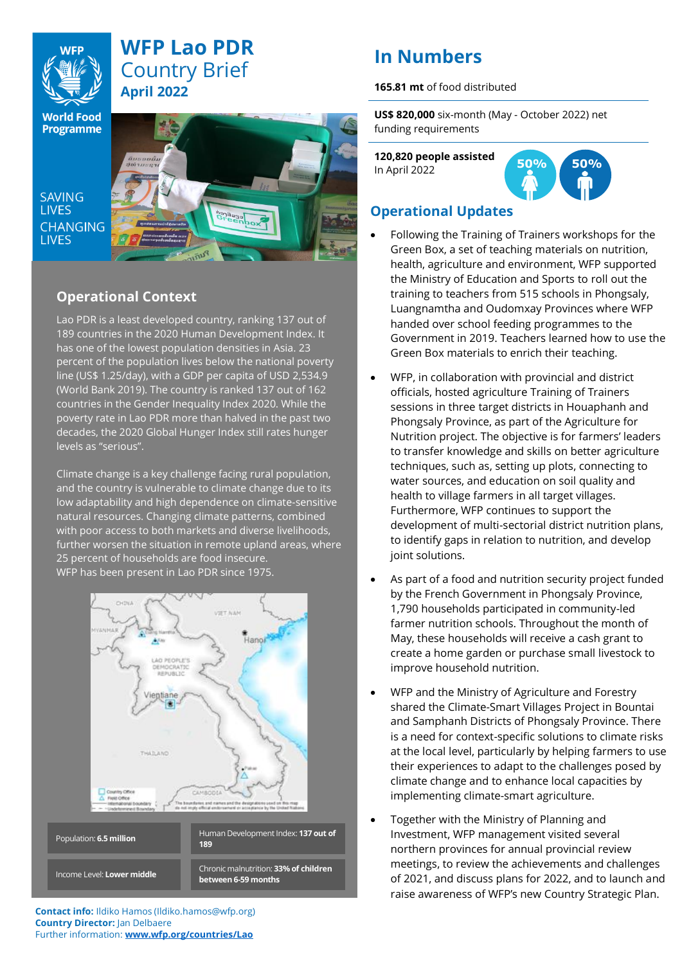

# **WFP Lao PDR** Country Brief **April 2022**

**World Food Programme** 

SAVING **LIVES CHANGING LIVES** 



## **Operational Context**

Lao PDR is a least developed country, ranking 137 out of 189 countries in the 2020 Human Development Index. It has one of the lowest population densities in Asia. 23 percent of the population lives below the national poverty line (US\$ 1.25/day), with a GDP per capita of USD 2,534.9 (World Bank 2019). The country is ranked 137 out of 162 countries in the Gender Inequality Index 2020. While the poverty rate in Lao PDR more than halved in the past two decades, the 2020 Global Hunger Index still rates hunger levels as "serious".

Climate change is a key challenge facing rural population, and the country is vulnerable to climate change due to its low adaptability and high dependence on climate-sensitive natural resources. Changing climate patterns, combined with poor access to both markets and diverse livelihoods, further worsen the situation in remote upland areas, where 25 percent of households are food insecure. WFP has been present in Lao PDR since 1975.



#### **Contact info:** Ildiko Hamos [\(Ildiko.hamos@wfp.org\)](mailto:Ildiko.hamos@wfp.org) **Country Director:** Jan Delbaere Further information: **[www.wfp.org/countries/Lao](http://www.wfp.org/countries/Lao)**

# **In Numbers**

### **165.81 mt** of food distributed

**US\$ 820,000** six-month (May - October 2022) net funding requirements

**120,820 people assisted** In April 2022 **50% 50%**

## **Operational Updates**

- Following the Training of Trainers workshops for the Green Box, a set of teaching materials on nutrition, health, agriculture and environment, WFP supported the Ministry of Education and Sports to roll out the training to teachers from 515 schools in Phongsaly, Luangnamtha and Oudomxay Provinces where WFP handed over school feeding programmes to the Government in 2019. Teachers learned how to use the Green Box materials to enrich their teaching.
- WFP, in collaboration with provincial and district officials, hosted agriculture Training of Trainers sessions in three target districts in Houaphanh and Phongsaly Province, as part of the Agriculture for Nutrition project. The objective is for farmers' leaders to transfer knowledge and skills on better agriculture techniques, such as, setting up plots, connecting to water sources, and education on soil quality and health to village farmers in all target villages. Furthermore, WFP continues to support the development of multi-sectorial district nutrition plans, to identify gaps in relation to nutrition, and develop joint solutions.
- As part of a food and nutrition security project funded by the French Government in Phongsaly Province, 1,790 households participated in community-led farmer nutrition schools. Throughout the month of May, these households will receive a cash grant to create a home garden or purchase small livestock to improve household nutrition.
- WFP and the Ministry of Agriculture and Forestry shared the Climate-Smart Villages Project in Bountai and Samphanh Districts of Phongsaly Province. There is a need for context-specific solutions to climate risks at the local level, particularly by helping farmers to use their experiences to adapt to the challenges posed by climate change and to enhance local capacities by implementing climate-smart agriculture.
- Together with the Ministry of Planning and Investment, WFP management visited several northern provinces for annual provincial review meetings, to review the achievements and challenges of 2021, and discuss plans for 2022, and to launch and raise awareness of WFP's new Country Strategic Plan.